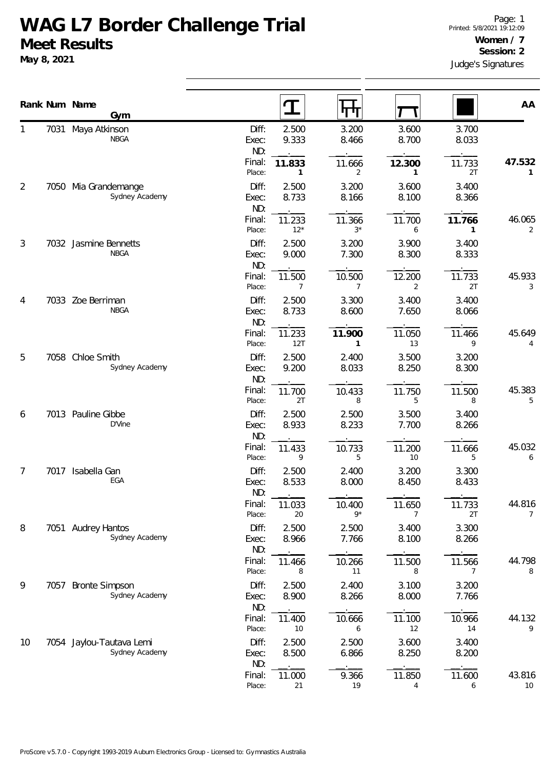## **WAG L7 Border Challenge Trial Meet Results**

**May 8, 2021**

|                |      | Rank Num Name<br>Gym                       |                       |                          | पाण                      |                           |                          | AA           |
|----------------|------|--------------------------------------------|-----------------------|--------------------------|--------------------------|---------------------------|--------------------------|--------------|
| 1              |      | 7031 Maya Atkinson<br><b>NBGA</b>          | Diff:<br>Exec:<br>ND: | 2.500<br>9.333           | 3.200<br>8.466           | 3.600<br>8.700            | 3.700<br>8.033           |              |
|                |      |                                            | Final:<br>Place:      | 11.833<br>$\mathbf{1}$   | 11.666<br>$\overline{2}$ | 12.300<br>1               | 11.733<br>2T             | 47.532<br>1  |
| $\overline{2}$ | 7050 | Mia Grandemange<br>Sydney Academy          | Diff:<br>Exec:<br>ND: | 2.500<br>8.733           | 3.200<br>8.166           | 3.600<br>8.100            | 3.400<br>8.366           |              |
|                |      |                                            | Final:<br>Place:      | 11.233<br>$12*$          | 11.366<br>$3*$           | 11.700<br>6               | 11.766<br>1              | 46.065<br>2  |
| $\mathfrak{Z}$ |      | 7032 Jasmine Bennetts<br><b>NBGA</b>       | Diff:<br>Exec:<br>ND: | 2.500<br>9.000           | 3.200<br>7.300           | 3.900<br>8.300            | 3.400<br>8.333           |              |
|                |      |                                            | Final:<br>Place:      | 11.500<br>$\overline{7}$ | 10.500<br>$\overline{7}$ | 12.200<br>2               | 11.733<br>2T             | 45.933<br>3  |
| 4              |      | 7033 Zoe Berriman<br><b>NBGA</b>           | Diff:<br>Exec:<br>ND: | 2.500<br>8.733           | 3.300<br>8.600           | 3.400<br>7.650            | 3.400<br>8.066           |              |
|                |      |                                            | Final:<br>Place:      | 11.233<br>12T            | 11.900<br>$\mathbf{1}$   | 11.050<br>13              | 11.466<br>9              | 45.649<br>4  |
| 5              | 7058 | Chloe Smith<br>Sydney Academy              | Diff:<br>Exec:<br>ND: | 2.500<br>9.200           | 2.400<br>8.033           | 3.500<br>8.250            | 3.200<br>8.300           |              |
|                |      |                                            | Final:<br>Place:      | 11.700<br>2T             | 10.433<br>8              | 11.750<br>5               | 11.500<br>8              | 45.383<br>5  |
| 6              | 7013 | Pauline Gibbe<br>D'Vine                    | Diff:<br>Exec:<br>ND: | 2.500<br>8.933           | 2.500<br>8.233           | 3.500<br>7.700            | 3.400<br>8.266           |              |
|                |      |                                            | Final:<br>Place:      | 11.433<br>9              | 10.733<br>5              | 11.200<br>10 <sup>°</sup> | 11.666<br>5              | 45.032<br>6  |
| 7              | 7017 | Isabella Gan<br>EGA                        | Diff:<br>Exec:<br>ND: | 2.500<br>8.533           | 2.400<br>8.000           | 3.200<br>8.450            | 3.300<br>8.433           |              |
|                |      |                                            | Final:<br>Place:      | 11.033<br>20             | 10.400<br>$9*$           | 11.650<br>7               | 11.733<br>2T             | 44.816<br>7  |
| 8              |      | 7051 Audrey Hantos<br>Sydney Academy       | Diff:<br>Exec:<br>ND: | 2.500<br>8.966           | 2.500<br>7.766           | 3.400<br>8.100            | 3.300<br>8.266           |              |
|                |      |                                            | Final:<br>Place:      | 11.466<br>8              | 10.266<br>11             | 11.500<br>8               | 11.566<br>$\overline{7}$ | 44.798<br>8  |
| 9              | 7057 | <b>Bronte Simpson</b><br>Sydney Academy    | Diff:<br>Exec:<br>ND: | 2.500<br>8.900           | 2.400<br>8.266           | 3.100<br>8.000            | 3.200<br>7.766           |              |
|                |      |                                            | Final:<br>Place:      | 11.400<br>10             | 10.666<br>6              | 11.100<br>12              | 10.966<br>14             | 44.132<br>9  |
| 10             |      | 7054 Jaylou-Tautava Lemi<br>Sydney Academy | Diff:<br>Exec:<br>ND: | 2.500<br>8.500           | 2.500<br>6.866           | 3.600<br>8.250            | 3.400<br>8.200           |              |
|                |      |                                            | Final:<br>Place:      | 11.000<br>21             | 9.366<br>19              | 11.850<br>4               | 11.600<br>6              | 43.816<br>10 |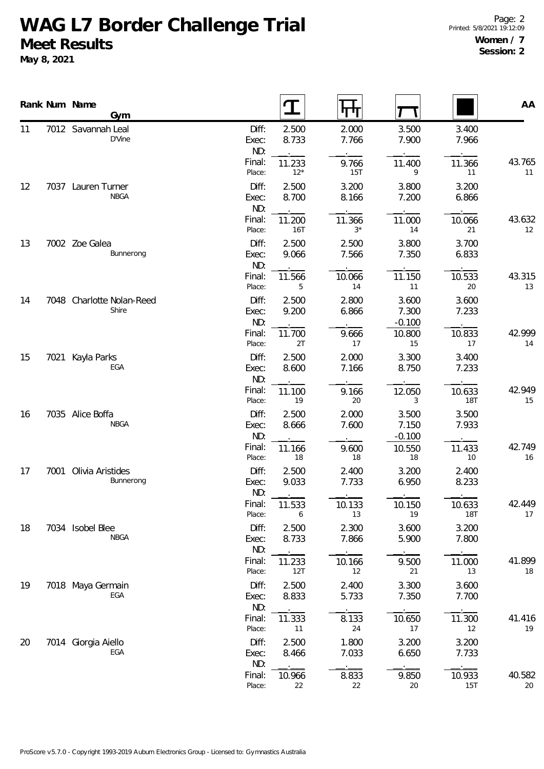## **WAG L7 Border Challenge Trial Meet Results**

**May 8, 2021**

|    |      | Rank Num Name<br>Gym               |                       |                 | पाग                 |                            |                      | AA           |
|----|------|------------------------------------|-----------------------|-----------------|---------------------|----------------------------|----------------------|--------------|
| 11 |      | 7012 Savannah Leal<br>D'Vine       | Diff:<br>Exec:<br>ND: | 2.500<br>8.733  | 2.000<br>7.766      | 3.500<br>7.900             | 3.400<br>7.966       |              |
|    |      |                                    | Final:<br>Place:      | 11.233<br>$12*$ | 9.766<br><b>15T</b> | 11.400<br>9                | 11.366<br>11         | 43.765<br>11 |
| 12 |      | 7037 Lauren Turner<br><b>NBGA</b>  | Diff:<br>Exec:<br>ND: | 2.500<br>8.700  | 3.200<br>8.166      | 3.800<br>7.200             | 3.200<br>6.866       |              |
|    |      |                                    | Final:<br>Place:      | 11.200<br>16T   | 11.366<br>$3*$      | 11.000<br>14               | 10.066<br>21         | 43.632<br>12 |
| 13 |      | 7002 Zoe Galea<br>Bunnerong        | Diff:<br>Exec:<br>ND: | 2.500<br>9.066  | 2.500<br>7.566      | 3.800<br>7.350             | 3.700<br>6.833       |              |
|    |      |                                    | Final:<br>Place:      | 11.566<br>5     | 10.066<br>14        | 11.150<br>11               | 10.533<br>20         | 43.315<br>13 |
| 14 |      | 7048 Charlotte Nolan-Reed<br>Shire | Diff:<br>Exec:<br>ND: | 2.500<br>9.200  | 2.800<br>6.866      | 3.600<br>7.300<br>$-0.100$ | 3.600<br>7.233       |              |
|    |      |                                    | Final:<br>Place:      | 11.700<br>2T    | 9.666<br>17         | 10.800<br>15               | 10.833<br>17         | 42.999<br>14 |
| 15 | 7021 | Kayla Parks<br>EGA                 | Diff:<br>Exec:<br>ND: | 2.500<br>8.600  | 2.000<br>7.166      | 3.300<br>8.750             | 3.400<br>7.233       |              |
|    |      |                                    | Final:<br>Place:      | 11.100<br>19    | 9.166<br>20         | 12.050<br>3                | 10.633<br>18T        | 42.949<br>15 |
| 16 |      | 7035 Alice Boffa<br><b>NBGA</b>    | Diff:<br>Exec:<br>ND: | 2.500<br>8.666  | 2.000<br>7.600      | 3.500<br>7.150<br>$-0.100$ | 3.500<br>7.933       |              |
|    |      |                                    | Final:<br>Place:      | 11.166<br>$18$  | 9.600<br>18         | 10.550<br>18               | 11.433<br>10         | 42.749<br>16 |
| 17 |      | 7001 Olivia Aristides<br>Bunnerong | Diff:<br>Exec:<br>ND: | 2.500<br>9.033  | 2.400<br>7.733      | 3.200<br>6.950             | 2.400<br>8.233       |              |
|    |      |                                    | Final:<br>Place:      | 11.533<br>6     | 10.133<br>13        | 10.150<br>19               | 10.633<br><b>18T</b> | 42.449<br>17 |
| 18 |      | 7034 Isobel Blee<br><b>NBGA</b>    | Diff:<br>Exec:<br>ND: | 2.500<br>8.733  | 2.300<br>7.866      | 3.600<br>5.900             | 3.200<br>7.800       |              |
|    |      |                                    | Final:<br>Place:      | 11.233<br>12T   | 10.166<br>12        | 9.500<br>21                | 11.000<br>13         | 41.899<br>18 |
| 19 |      | 7018 Maya Germain<br>EGA           | Diff:<br>Exec:<br>ND: | 2.500<br>8.833  | 2.400<br>5.733      | 3.300<br>7.350             | 3.600<br>7.700       |              |
|    |      |                                    | Final:<br>Place:      | 11.333<br>11    | 8.133<br>24         | 10.650<br>17               | 11.300<br>12         | 41.416<br>19 |
| 20 |      | 7014 Giorgia Aiello<br>EGA         | Diff:<br>Exec:<br>ND: | 2.500<br>8.466  | 1.800<br>7.033      | 3.200<br>6.650             | 3.200<br>7.733       |              |
|    |      |                                    | Final:<br>Place:      | 10.966<br>22    | 8.833<br>22         | 9.850<br>20                | 10.933<br>15T        | 40.582<br>20 |